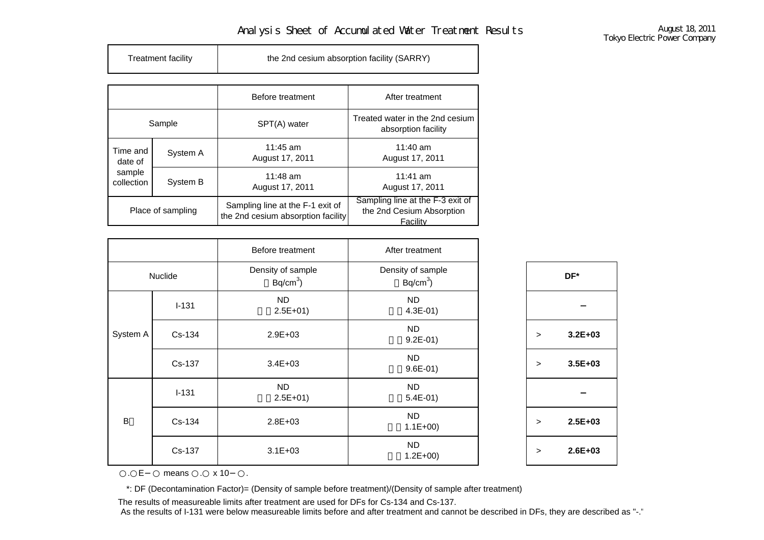## Analysis Sheet of Accumulated Water Treatment Results August 18, 2011<br>Tokyo Electric Power Company

| Treatment facility | the 2nd cesium absorption facility (SARRY) |
|--------------------|--------------------------------------------|
|                    |                                            |

|                                             |          | Before treatment                                                       | After treatment                                                           |
|---------------------------------------------|----------|------------------------------------------------------------------------|---------------------------------------------------------------------------|
| Sample                                      |          | SPT(A) water                                                           | Treated water in the 2nd cesium<br>absorption facility                    |
| Time and<br>date of<br>sample<br>collection | System A | $11:45$ am<br>August 17, 2011                                          | $11:40$ am<br>August 17, 2011                                             |
|                                             | System B | $11:48$ am<br>August 17, 2011                                          | $11:41$ am<br>August 17, 2011                                             |
| Place of sampling                           |          | Sampling line at the F-1 exit of<br>the 2nd cesium absorption facility | Sampling line at the F-3 exit of<br>the 2nd Cesium Absorption<br>Facility |

|          |           | Before treatment                | After treatment                 |        |          |
|----------|-----------|---------------------------------|---------------------------------|--------|----------|
|          | Nuclide   | Density of sample<br>$Bq/cm3$ ) | Density of sample<br>$Bq/cm3$ ) |        | DF*      |
|          | $I-131$   | <b>ND</b><br>$2.5E+01$          | <b>ND</b><br>$4.3E-01$ )        |        |          |
| System A | Cs-134    | $2.9E + 03$                     | <b>ND</b><br>$9.2E-01$ )        | $\geq$ | $3.2E -$ |
|          | Cs-137    | $3.4E + 03$                     | <b>ND</b><br>$9.6E-01$ )        | $\geq$ | $3.5E -$ |
|          | $I - 131$ | <b>ND</b><br>$2.5E+01$          | <b>ND</b><br>$5.4E-01$ )        |        |          |
| B        | Cs-134    | $2.8E + 03$                     | <b>ND</b><br>$1.1E+00$          | $\geq$ | $2.5E-$  |
|          | Cs-137    | $3.1E + 03$                     | <b>ND</b><br>$1.2E + 00$        | $\geq$ | $2.6E -$ |

 $\,$  **3.2E+03** > **3.5E+03** > **2.5E+03** >**2.6E+03**

.E means . x 10 .

\*: DF (Decontamination Factor)= (Density of sample before treatment)/(Density of sample after treatment)

The results of measureable limits after treatment are used for DFs for Cs-134 and Cs-137.

As the results of I-131 were below measureable limits before and after treatment and cannot be described in DFs, they are described as "-.'